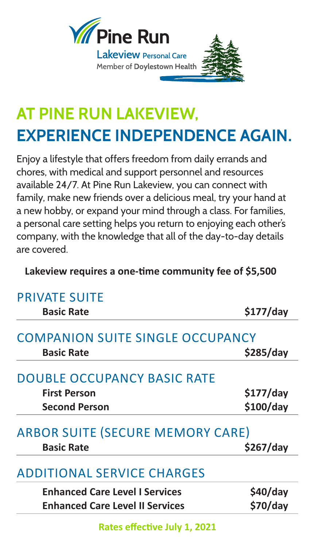

## **AT PINE RUN LAKEVIEW, EXPERIENCE INDEPENDENCE AGAIN.**

Enjoy a lifestyle that offers freedom from daily errands and chores, with medical and support personnel and resources available 24/7. At Pine Run Lakeview, you can connect with family, make new friends over a delicious meal, try your hand at a new hobby, or expand your mind through a class. For families, a personal care setting helps you return to enjoying each other's company, with the knowledge that all of the day-to-day details are covered.

**Lakeview requires a one-time community fee of \$5,500**

| <b>PRIVATE SUITE</b>                                                              |                        |
|-----------------------------------------------------------------------------------|------------------------|
| <b>Basic Rate</b>                                                                 | $$177$ /day            |
| <b>COMPANION SUITE SINGLE OCCUPANCY</b><br><b>Basic Rate</b>                      | \$285/day              |
| <b>DOUBLE OCCUPANCY BASIC RATE</b><br><b>First Person</b><br><b>Second Person</b> | \$177/day<br>\$100/day |
| <b>ARBOR SUITE (SECURE MEMORY CARE)</b><br><b>Basic Rate</b>                      | \$267/day              |
| <b>ADDITIONAL SERVICE CHARGES</b>                                                 |                        |
| <b>Enhanced Care Level I Services</b><br><b>Enhanced Care Level II Services</b>   | \$40/day<br>\$70/day   |
|                                                                                   |                        |

**Rates effective July 1, 2021**